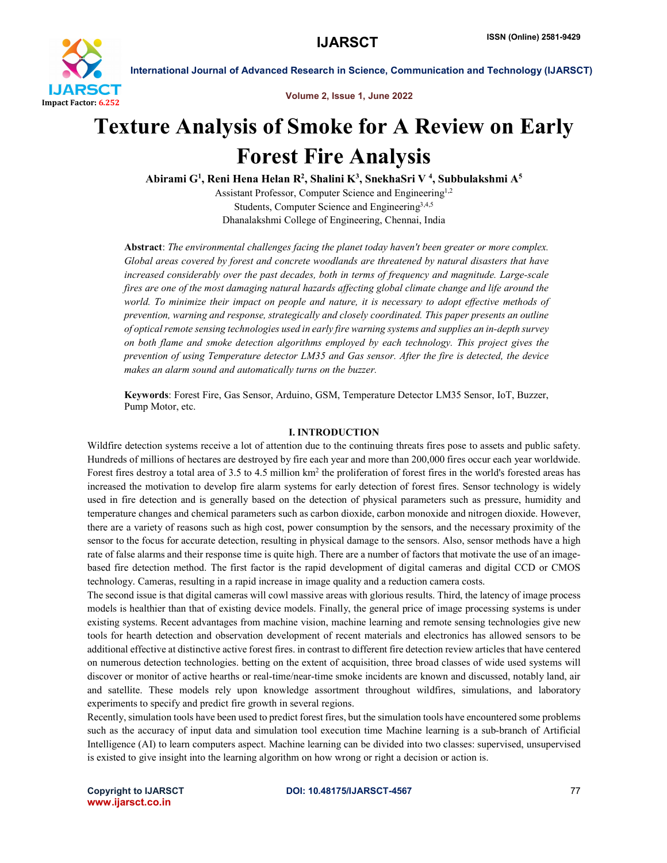

Volume 2, Issue 1, June 2022

# Texture Analysis of Smoke for A Review on Early Forest Fire Analysis

Abirami G<sup>1</sup>, Reni Hena Helan R<sup>2</sup>, Shalini K<sup>3</sup>, SnekhaSri V <sup>4</sup>, Subbulakshmi A<sup>5</sup>

Assistant Professor, Computer Science and Engineering<sup>1,2</sup> Students, Computer Science and Engineering3,4,5 Dhanalakshmi College of Engineering, Chennai, India

Abstract: *The environmental challenges facing the planet today haven't been greater or more complex. Global areas covered by forest and concrete woodlands are threatened by natural disasters that have increased considerably over the past decades, both in terms of frequency and magnitude. Large-scale fires are one of the most damaging natural hazards affecting global climate change and life around the world. To minimize their impact on people and nature, it is necessary to adopt effective methods of prevention, warning and response, strategically and closely coordinated. This paper presents an outline of opticalremote sensing technologies used in early fire warning systems and supplies an in-depth survey on both flame and smoke detection algorithms employed by each technology. This project gives the prevention of using Temperature detector LM35 and Gas sensor. After the fire is detected, the device makes an alarm sound and automatically turns on the buzzer.*

Keywords: Forest Fire, Gas Sensor, Arduino, GSM, Temperature Detector LM35 Sensor, IoT, Buzzer, Pump Motor, etc.

### I. INTRODUCTION

Wildfire detection systems receive a lot of attention due to the continuing threats fires pose to assets and public safety. Hundreds of millions of hectares are destroyed by fire each year and more than 200,000 fires occur each year worldwide. Forest fires destroy a total area of 3.5 to 4.5 million km2 the proliferation of forest fires in the world's forested areas has increased the motivation to develop fire alarm systems for early detection of forest fires. Sensor technology is widely used in fire detection and is generally based on the detection of physical parameters such as pressure, humidity and temperature changes and chemical parameters such as carbon dioxide, carbon monoxide and nitrogen dioxide. However, there are a variety of reasons such as high cost, power consumption by the sensors, and the necessary proximity of the sensor to the focus for accurate detection, resulting in physical damage to the sensors. Also, sensor methods have a high rate of false alarms and their response time is quite high. There are a number of factors that motivate the use of an imagebased fire detection method. The first factor is the rapid development of digital cameras and digital CCD or CMOS technology. Cameras, resulting in a rapid increase in image quality and a reduction camera costs.

The second issue is that digital cameras will cowl massive areas with glorious results. Third, the latency of image process models is healthier than that of existing device models. Finally, the general price of image processing systems is under existing systems. Recent advantages from machine vision, machine learning and remote sensing technologies give new tools for hearth detection and observation development of recent materials and electronics has allowed sensors to be additional effective at distinctive active forest fires. in contrast to different fire detection review articles that have centered on numerous detection technologies. betting on the extent of acquisition, three broad classes of wide used systems will discover or monitor of active hearths or real-time/near-time smoke incidents are known and discussed, notably land, air and satellite. These models rely upon knowledge assortment throughout wildfires, simulations, and laboratory experiments to specify and predict fire growth in several regions.

Recently, simulation tools have been used to predict forest fires, but the simulation tools have encountered some problems such as the accuracy of input data and simulation tool execution time Machine learning is a sub-branch of Artificial Intelligence (AI) to learn computers aspect. Machine learning can be divided into two classes: supervised, unsupervised is existed to give insight into the learning algorithm on how wrong or right a decision or action is.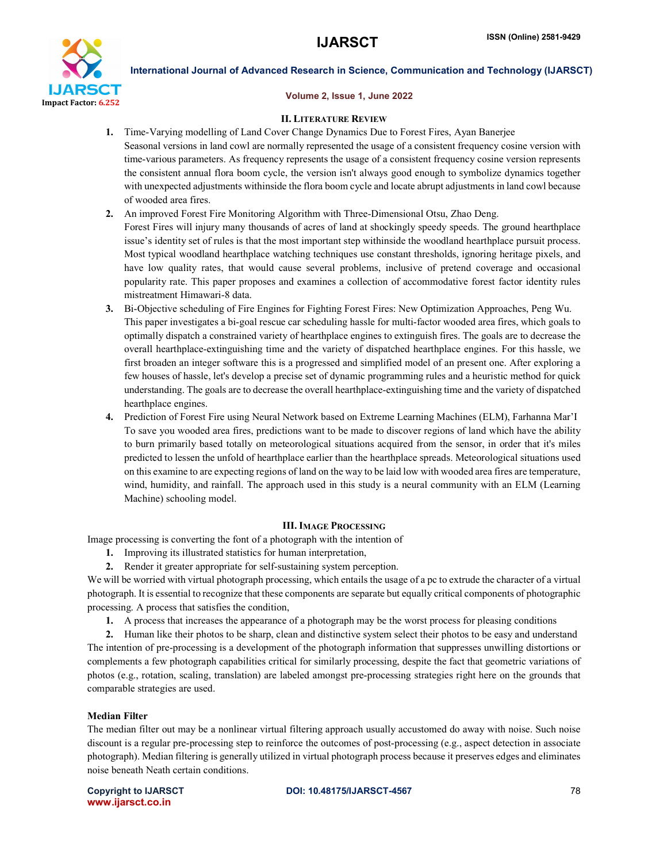

### Volume 2, Issue 1, June 2022

### II. LITERATURE REVIEW

- 1. Time-Varying modelling of Land Cover Change Dynamics Due to Forest Fires, Ayan Banerjee Seasonal versions in land cowl are normally represented the usage of a consistent frequency cosine version with time-various parameters. As frequency represents the usage of a consistent frequency cosine version represents the consistent annual flora boom cycle, the version isn't always good enough to symbolize dynamics together with unexpected adjustments withinside the flora boom cycle and locate abrupt adjustments in land cowl because of wooded area fires.
- 2. An improved Forest Fire Monitoring Algorithm with Three-Dimensional Otsu, Zhao Deng.
- Forest Fires will injury many thousands of acres of land at shockingly speedy speeds. The ground hearthplace issue's identity set of rules is that the most important step withinside the woodland hearthplace pursuit process. Most typical woodland hearthplace watching techniques use constant thresholds, ignoring heritage pixels, and have low quality rates, that would cause several problems, inclusive of pretend coverage and occasional popularity rate. This paper proposes and examines a collection of accommodative forest factor identity rules mistreatment Himawari-8 data.
- 3. Bi-Objective scheduling of Fire Engines for Fighting Forest Fires: New Optimization Approaches, Peng Wu. This paper investigates a bi-goal rescue car scheduling hassle for multi-factor wooded area fires, which goals to optimally dispatch a constrained variety of hearthplace engines to extinguish fires. The goals are to decrease the overall hearthplace-extinguishing time and the variety of dispatched hearthplace engines. For this hassle, we first broaden an integer software this is a progressed and simplified model of an present one. After exploring a few houses of hassle, let's develop a precise set of dynamic programming rules and a heuristic method for quick understanding. The goals are to decrease the overall hearthplace-extinguishing time and the variety of dispatched hearthplace engines.
- 4. Prediction of Forest Fire using Neural Network based on Extreme Learning Machines (ELM), Farhanna Mar'I To save you wooded area fires, predictions want to be made to discover regions of land which have the ability to burn primarily based totally on meteorological situations acquired from the sensor, in order that it's miles predicted to lessen the unfold of hearthplace earlier than the hearthplace spreads. Meteorological situations used on this examine to are expecting regions of land on the way to be laid low with wooded area fires are temperature, wind, humidity, and rainfall. The approach used in this study is a neural community with an ELM (Learning Machine) schooling model.

### III. IMAGE PROCESSING

Image processing is converting the font of a photograph with the intention of

- 1. Improving its illustrated statistics for human interpretation,
- 2. Render it greater appropriate for self-sustaining system perception.

We will be worried with virtual photograph processing, which entails the usage of a pc to extrude the character of a virtual photograph. It is essential to recognize that these components are separate but equally critical components of photographic processing. A process that satisfies the condition,

1. A process that increases the appearance of a photograph may be the worst process for pleasing conditions

2. Human like their photos to be sharp, clean and distinctive system select their photos to be easy and understand The intention of pre-processing is a development of the photograph information that suppresses unwilling distortions or complements a few photograph capabilities critical for similarly processing, despite the fact that geometric variations of photos (e.g., rotation, scaling, translation) are labeled amongst pre-processing strategies right here on the grounds that comparable strategies are used.

# Median Filter

The median filter out may be a nonlinear virtual filtering approach usually accustomed do away with noise. Such noise discount is a regular pre-processing step to reinforce the outcomes of post-processing (e.g., aspect detection in associate photograph). Median filtering is generally utilized in virtual photograph process because it preserves edges and eliminates noise beneath Neath certain conditions.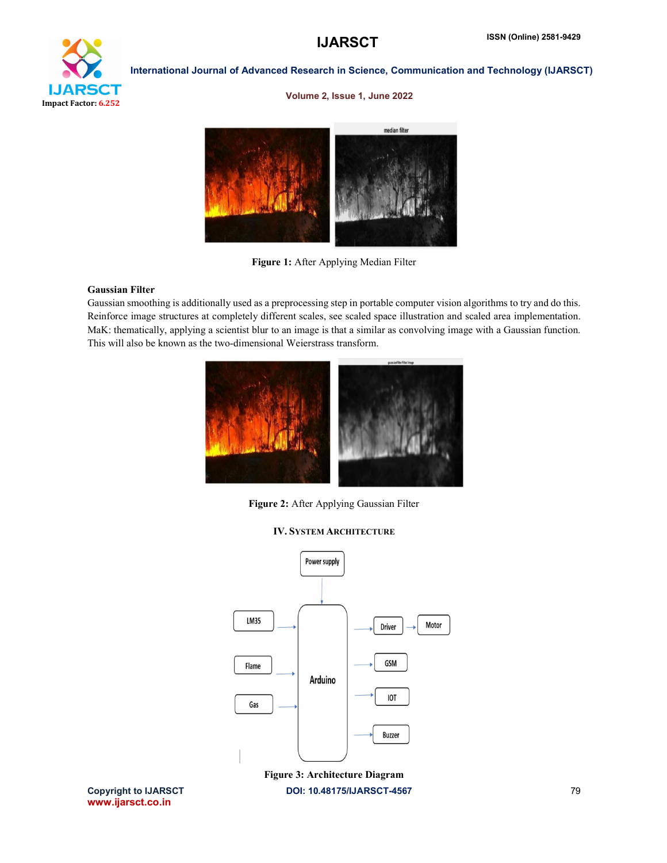

### Volume 2, Issue 1, June 2022



Figure 1: After Applying Median Filter

# Gaussian Filter

Gaussian smoothing is additionally used as a preprocessing step in portable computer vision algorithms to try and do this. Reinforce image structures at completely different scales, see scaled space illustration and scaled area implementation. MaK: thematically, applying a scientist blur to an image is that a similar as convolving image with a Gaussian function. This will also be known as the two-dimensional Weierstrass transform.



Figure 2: After Applying Gaussian Filter



IV. SYSTEM ARCHITECTURE

Copyright to IJARSCT **DOI: 10.48175/IJARSCT-4567** 79 Figure 3: Architecture Diagram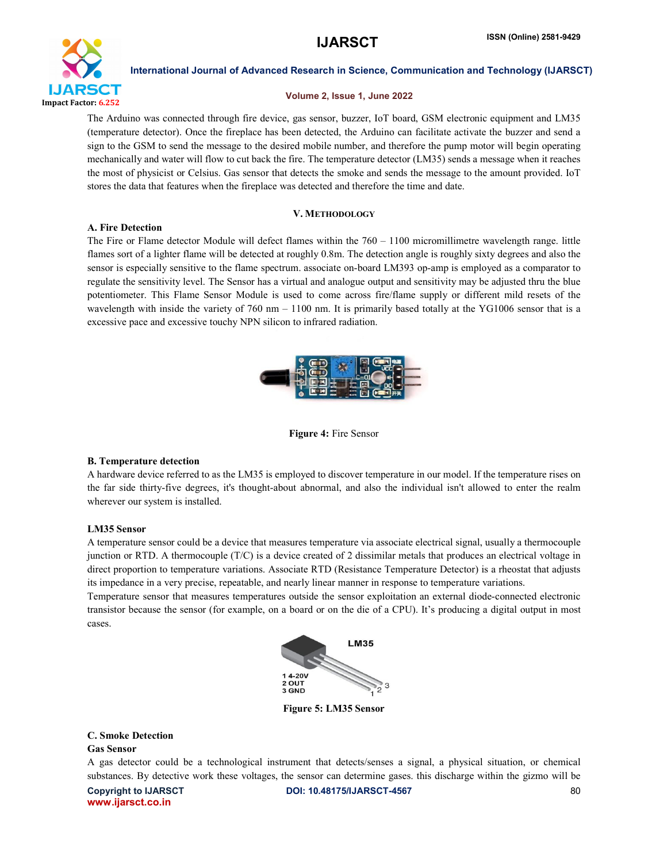

### Volume 2, Issue 1, June 2022

The Arduino was connected through fire device, gas sensor, buzzer, IoT board, GSM electronic equipment and LM35 (temperature detector). Once the fireplace has been detected, the Arduino can facilitate activate the buzzer and send a sign to the GSM to send the message to the desired mobile number, and therefore the pump motor will begin operating mechanically and water will flow to cut back the fire. The temperature detector (LM35) sends a message when it reaches the most of physicist or Celsius. Gas sensor that detects the smoke and sends the message to the amount provided. IoT stores the data that features when the fireplace was detected and therefore the time and date.

### V. METHODOLOGY

### A. Fire Detection

The Fire or Flame detector Module will defect flames within the  $760 - 1100$  micromillimetre wavelength range. little flames sort of a lighter flame will be detected at roughly 0.8m. The detection angle is roughly sixty degrees and also the sensor is especially sensitive to the flame spectrum. associate on-board LM393 op-amp is employed as a comparator to regulate the sensitivity level. The Sensor has a virtual and analogue output and sensitivity may be adjusted thru the blue potentiometer. This Flame Sensor Module is used to come across fire/flame supply or different mild resets of the wavelength with inside the variety of 760 nm – 1100 nm. It is primarily based totally at the YG1006 sensor that is a excessive pace and excessive touchy NPN silicon to infrared radiation.



Figure 4: Fire Sensor

#### B. Temperature detection

A hardware device referred to as the LM35 is employed to discover temperature in our model. If the temperature rises on the far side thirty-five degrees, it's thought-about abnormal, and also the individual isn't allowed to enter the realm wherever our system is installed.

#### LM35 Sensor

A temperature sensor could be a device that measures temperature via associate electrical signal, usually a thermocouple junction or RTD. A thermocouple (T/C) is a device created of 2 dissimilar metals that produces an electrical voltage in direct proportion to temperature variations. Associate RTD (Resistance Temperature Detector) is a rheostat that adjusts its impedance in a very precise, repeatable, and nearly linear manner in response to temperature variations.

Temperature sensor that measures temperatures outside the sensor exploitation an external diode-connected electronic transistor because the sensor (for example, on a board or on the die of a CPU). It's producing a digital output in most cases.



Figure 5: LM35 Sensor

# C. Smoke Detection

# Gas Sensor

Copyright to IJARSCT **DOI: 10.48175/IJARSCT-4567** 80 A gas detector could be a technological instrument that detects/senses a signal, a physical situation, or chemical substances. By detective work these voltages, the sensor can determine gases. this discharge within the gizmo will be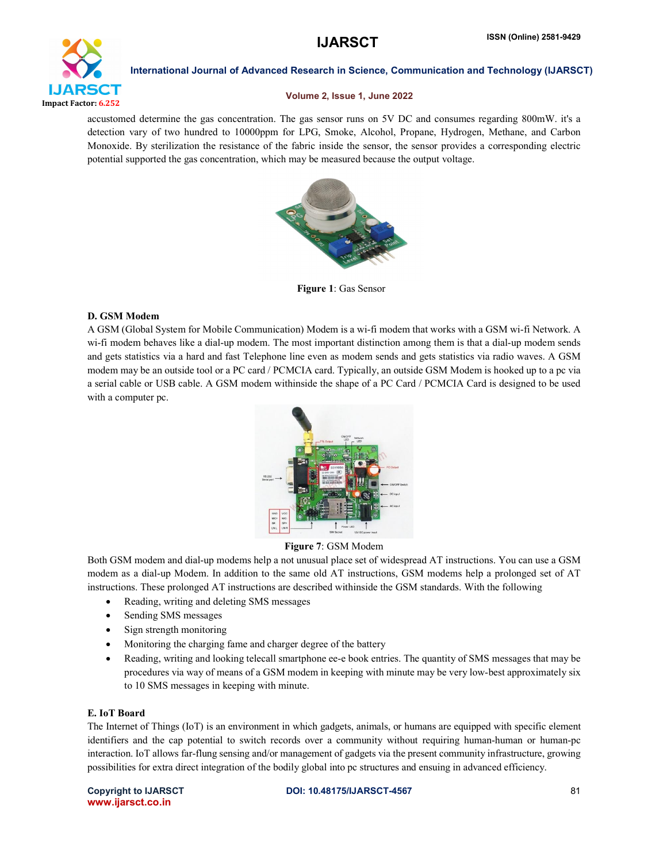

### Volume 2, Issue 1, June 2022

accustomed determine the gas concentration. The gas sensor runs on 5V DC and consumes regarding 800mW. it's a detection vary of two hundred to 10000ppm for LPG, Smoke, Alcohol, Propane, Hydrogen, Methane, and Carbon Monoxide. By sterilization the resistance of the fabric inside the sensor, the sensor provides a corresponding electric potential supported the gas concentration, which may be measured because the output voltage.



Figure 1: Gas Sensor

### D. GSM Modem

A GSM (Global System for Mobile Communication) Modem is a wi-fi modem that works with a GSM wi-fi Network. A wi-fi modem behaves like a dial-up modem. The most important distinction among them is that a dial-up modem sends and gets statistics via a hard and fast Telephone line even as modem sends and gets statistics via radio waves. A GSM modem may be an outside tool or a PC card / PCMCIA card. Typically, an outside GSM Modem is hooked up to a pc via a serial cable or USB cable. A GSM modem withinside the shape of a PC Card / PCMCIA Card is designed to be used with a computer pc.



### Figure 7: GSM Modem

Both GSM modem and dial-up modems help a not unusual place set of widespread AT instructions. You can use a GSM modem as a dial-up Modem. In addition to the same old AT instructions, GSM modems help a prolonged set of AT instructions. These prolonged AT instructions are described withinside the GSM standards. With the following

- Reading, writing and deleting SMS messages
- Sending SMS messages
- Sign strength monitoring
- Monitoring the charging fame and charger degree of the battery
- Reading, writing and looking telecall smartphone ee-e book entries. The quantity of SMS messages that may be procedures via way of means of a GSM modem in keeping with minute may be very low-best approximately six to 10 SMS messages in keeping with minute.

### E. IoT Board

The Internet of Things (IoT) is an environment in which gadgets, animals, or humans are equipped with specific element identifiers and the cap potential to switch records over a community without requiring human-human or human-pc interaction. IoT allows far-flung sensing and/or management of gadgets via the present community infrastructure, growing possibilities for extra direct integration of the bodily global into pc structures and ensuing in advanced efficiency.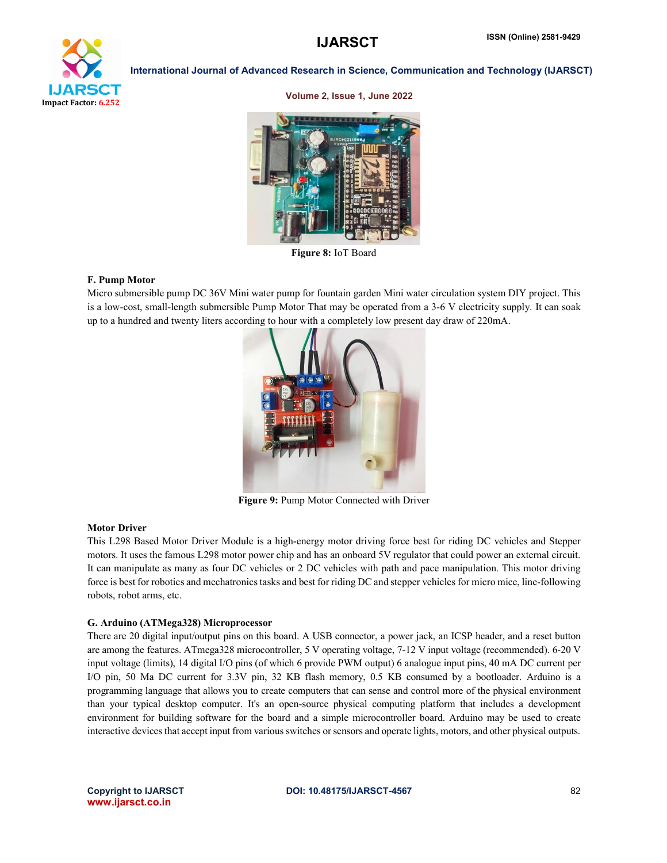

#### Volume 2, Issue 1, June 2022



Figure 8: IoT Board

#### F. Pump Motor

Micro submersible pump DC 36V Mini water pump for fountain garden Mini water circulation system DIY project. This is a low-cost, small-length submersible Pump Motor That may be operated from a 3-6 V electricity supply. It can soak up to a hundred and twenty liters according to hour with a completely low present day draw of 220mA.



Figure 9: Pump Motor Connected with Driver

#### Motor Driver

This L298 Based Motor Driver Module is a high-energy motor driving force best for riding DC vehicles and Stepper motors. It uses the famous L298 motor power chip and has an onboard 5V regulator that could power an external circuit. It can manipulate as many as four DC vehicles or 2 DC vehicles with path and pace manipulation. This motor driving force is best for robotics and mechatronics tasks and best for riding DC and stepper vehicles for micro mice, line-following robots, robot arms, etc.

#### G. Arduino (ATMega328) Microprocessor

There are 20 digital input/output pins on this board. A USB connector, a power jack, an ICSP header, and a reset button are among the features. ATmega328 microcontroller, 5 V operating voltage, 7-12 V input voltage (recommended). 6-20 V input voltage (limits), 14 digital I/O pins (of which 6 provide PWM output) 6 analogue input pins, 40 mA DC current per I/O pin, 50 Ma DC current for 3.3V pin, 32 KB flash memory, 0.5 KB consumed by a bootloader. Arduino is a programming language that allows you to create computers that can sense and control more of the physical environment than your typical desktop computer. It's an open-source physical computing platform that includes a development environment for building software for the board and a simple microcontroller board. Arduino may be used to create interactive devices that accept input from various switches or sensors and operate lights, motors, and other physical outputs.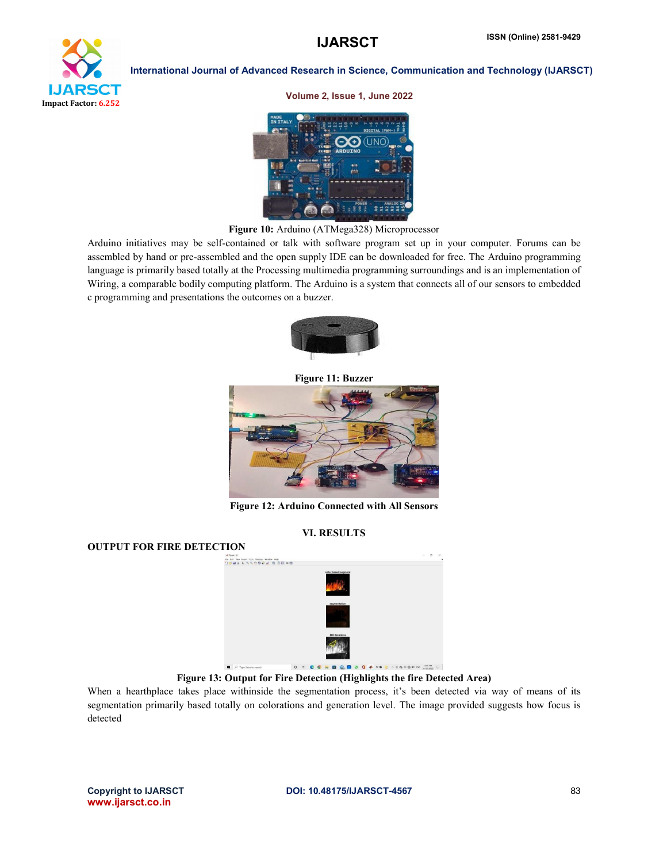



Figure 10: Arduino (ATMega328) Microprocessor

Arduino initiatives may be self-contained or talk with software program set up in your computer. Forums can be assembled by hand or pre-assembled and the open supply IDE can be downloaded for free. The Arduino programming language is primarily based totally at the Processing multimedia programming surroundings and is an implementation of Wiring, a comparable bodily computing platform. The Arduino is a system that connects all of our sensors to embedded c programming and presentations the outcomes on a buzzer.



Figure 11: Buzzer



Figure 12: Arduino Connected with All Sensors

# VI. RESULTS

# OUTPUT FOR FIRE DETECTION



Figure 13: Output for Fire Detection (Highlights the fire Detected Area)

When a hearthplace takes place withinside the segmentation process, it's been detected via way of means of its segmentation primarily based totally on colorations and generation level. The image provided suggests how focus is detected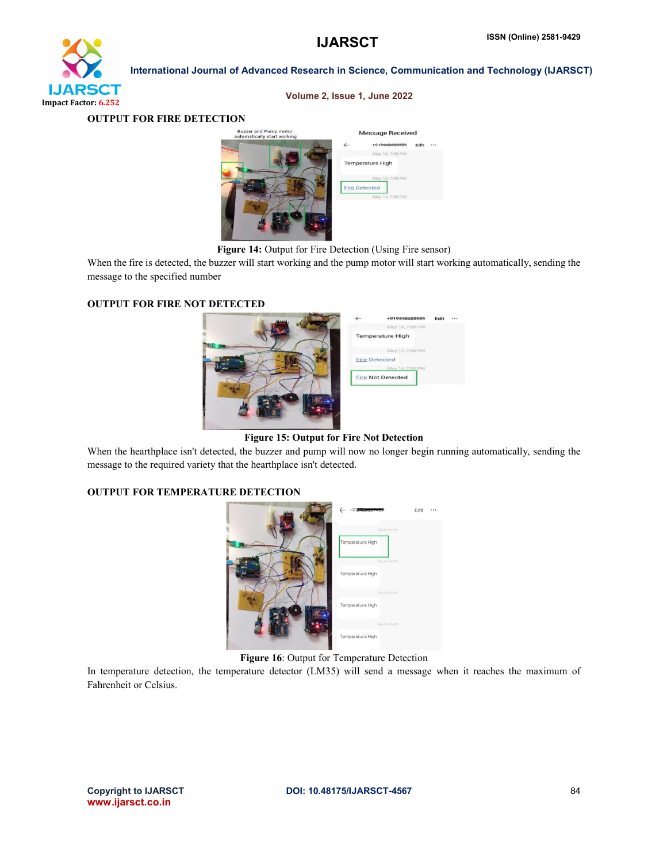

#### Volume 2, Issue 1, June 2022

OUTPUT FOR FIRE DETECTION

| <b>Buzzer and Pump motor</b><br>automatically start working | <b>Message Received</b> |                                         |      |  |
|-------------------------------------------------------------|-------------------------|-----------------------------------------|------|--|
|                                                             |                         | +919442020901                           | Edit |  |
|                                                             |                         | May 14, 7:08 PM                         |      |  |
|                                                             |                         | <b>Temperature High</b>                 |      |  |
|                                                             |                         | May 14, 7:08 PM<br><b>Fire Detected</b> |      |  |
|                                                             |                         | May 14, 7:08 PM                         |      |  |
|                                                             |                         |                                         |      |  |
|                                                             |                         |                                         |      |  |
|                                                             |                         |                                         |      |  |

Figure 14: Output for Fire Detection (Using Fire sensor)

When the fire is detected, the buzzer will start working and the pump motor will start working automatically, sending the message to the specified number

### OUTPUT FOR FIRE NOT DETECTED

| $\leftarrow$ | -919-000000              | Edit |  |
|--------------|--------------------------|------|--|
|              | May 14, 7:08 PM          |      |  |
|              | <b>Temperature High</b>  |      |  |
|              | May 14, 7:08 PM          |      |  |
|              | <b>Fire Detected</b>     |      |  |
|              | May 14, 7:08 PM          |      |  |
|              | <b>Fire Not Detected</b> |      |  |
|              |                          |      |  |
|              |                          |      |  |
|              |                          |      |  |
|              |                          |      |  |
|              |                          |      |  |
|              |                          |      |  |

Figure 15: Output for Fire Not Detection

When the hearthplace isn't detected, the buzzer and pump will now no longer begin running automatically, sending the message to the required variety that the hearthplace isn't detected.

# OUTPUT FOR TEMPERATURE DETECTION

| +918420527                                                                                                                                                                                                                     | Edit |  |
|--------------------------------------------------------------------------------------------------------------------------------------------------------------------------------------------------------------------------------|------|--|
| (Tiny 14, 6:14 P/I)<br>Temperature High                                                                                                                                                                                        |      |  |
| (Toy M. 6.14 PM)                                                                                                                                                                                                               |      |  |
| Temperature High                                                                                                                                                                                                               |      |  |
| may 14, o to mm<br>Temperature High                                                                                                                                                                                            |      |  |
| $(25, 0.000, 0.000, 0.000, 0.000, 0.000, 0.000, 0.000, 0.000, 0.000, 0.000, 0.000, 0.000, 0.000, 0.000, 0.000, 0.000, 0.000, 0.000, 0.000, 0.000, 0.000, 0.000, 0.000, 0.000, 0.000, 0.000, 0.000, 0.000, 0.000, 0.000, 0.000$ |      |  |
| Temperature High                                                                                                                                                                                                               |      |  |

Figure 16: Output for Temperature Detection

In temperature detection, the temperature detector (LM35) will send a message when it reaches the maximum of Fahrenheit or Celsius.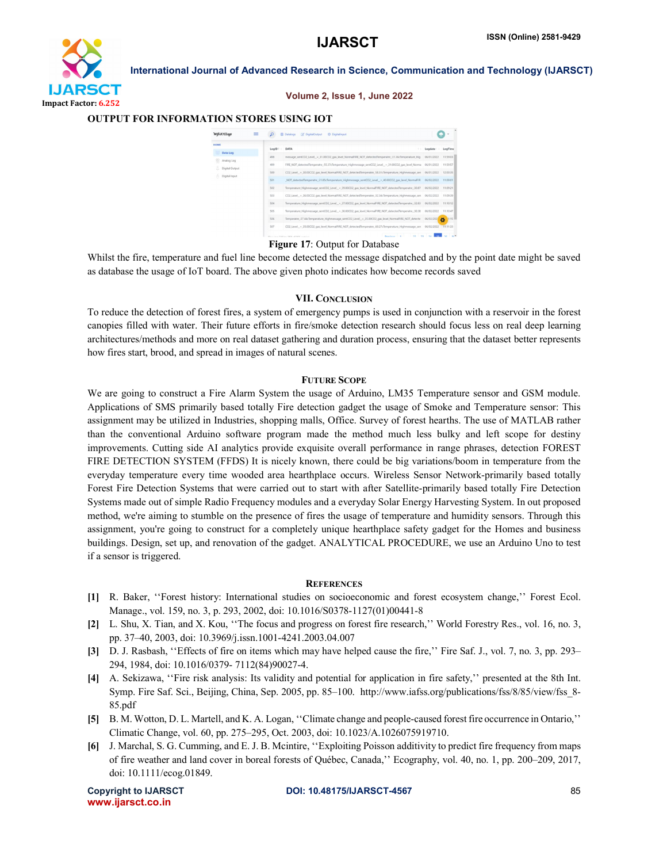

Volume 2, Issue 1, June 2022

#### OUTPUT FOR INFORMATION STORES USING IOT



Figure 17: Output for Database

Whilst the fire, temperature and fuel line become detected the message dispatched and by the point date might be saved as database the usage of IoT board. The above given photo indicates how become records saved

#### VII. CONCLUSION

To reduce the detection of forest fires, a system of emergency pumps is used in conjunction with a reservoir in the forest canopies filled with water. Their future efforts in fire/smoke detection research should focus less on real deep learning architectures/methods and more on real dataset gathering and duration process, ensuring that the dataset better represents how fires start, brood, and spread in images of natural scenes.

#### FUTURE SCOPE

We are going to construct a Fire Alarm System the usage of Arduino, LM35 Temperature sensor and GSM module. Applications of SMS primarily based totally Fire detection gadget the usage of Smoke and Temperature sensor: This assignment may be utilized in Industries, shopping malls, Office. Survey of forest hearths. The use of MATLAB rather than the conventional Arduino software program made the method much less bulky and left scope for destiny improvements. Cutting side AI analytics provide exquisite overall performance in range phrases, detection FOREST FIRE DETECTION SYSTEM (FFDS) It is nicely known, there could be big variations/boom in temperature from the everyday temperature every time wooded area hearthplace occurs. Wireless Sensor Network-primarily based totally Forest Fire Detection Systems that were carried out to start with after Satellite-primarily based totally Fire Detection Systems made out of simple Radio Frequency modules and a everyday Solar Energy Harvesting System. In out proposed method, we're aiming to stumble on the presence of fires the usage of temperature and humidity sensors. Through this assignment, you're going to construct for a completely unique hearthplace safety gadget for the Homes and business buildings. Design, set up, and renovation of the gadget. ANALYTICAL PROCEDURE, we use an Arduino Uno to test if a sensor is triggered.

#### **REFERENCES**

- [1] R. Baker, ''Forest history: International studies on socioeconomic and forest ecosystem change,'' Forest Ecol. Manage., vol. 159, no. 3, p. 293, 2002, doi: 10.1016/S0378-1127(01)00441-8
- [2] L. Shu, X. Tian, and X. Kou, ''The focus and progress on forest fire research,'' World Forestry Res., vol. 16, no. 3, pp. 37–40, 2003, doi: 10.3969/j.issn.1001-4241.2003.04.007
- [3] D. J. Rasbash, "Effects of fire on items which may have helped cause the fire," Fire Saf. J., vol. 7, no. 3, pp. 293– 294, 1984, doi: 10.1016/0379- 7112(84)90027-4.
- [4] A. Sekizawa, ''Fire risk analysis: Its validity and potential for application in fire safety,'' presented at the 8th Int. Symp. Fire Saf. Sci., Beijing, China, Sep. 2005, pp. 85–100. http://www.iafss.org/publications/fss/8/85/view/fss\_8- 85.pdf
- [5] B. M. Wotton, D. L. Martell, and K. A. Logan, ''Climate change and people-caused forest fire occurrence in Ontario,'' Climatic Change, vol. 60, pp. 275–295, Oct. 2003, doi: 10.1023/A.1026075919710.
- [6] J. Marchal, S. G. Cumming, and E. J. B. Mcintire, ''Exploiting Poisson additivity to predict fire frequency from maps of fire weather and land cover in boreal forests of Québec, Canada,'' Ecography, vol. 40, no. 1, pp. 200–209, 2017, doi: 10.1111/ecog.01849.